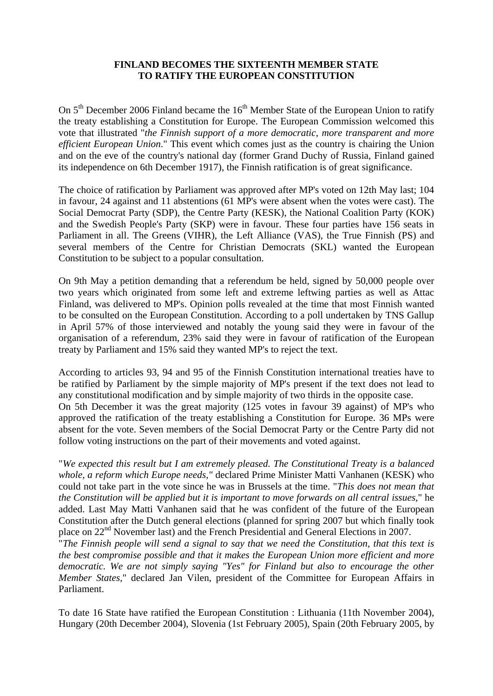## **FINLAND BECOMES THE SIXTEENTH MEMBER STATE TO RATIFY THE EUROPEAN CONSTITUTION**

On  $5<sup>th</sup>$  December 2006 Finland became the  $16<sup>th</sup>$  Member State of the European Union to ratify the treaty establishing a Constitution for Europe. The European Commission welcomed this vote that illustrated "*the Finnish support of a more democratic, more transparent and more efficient European Union*." This event which comes just as the country is chairing the Union and on the eve of the country's national day (former Grand Duchy of Russia, Finland gained its independence on 6th December 1917), the Finnish ratification is of great significance.

The choice of ratification by Parliament was approved after MP's voted on 12th May last; 104 in favour, 24 against and 11 abstentions (61 MP's were absent when the votes were cast). The Social Democrat Party (SDP), the Centre Party (KESK), the National Coalition Party (KOK) and the Swedish People's Party (SKP) were in favour. These four parties have 156 seats in Parliament in all. The Greens (VIHR), the Left Alliance (VAS), the True Finnish (PS) and several members of the Centre for Christian Democrats (SKL) wanted the European Constitution to be subject to a popular consultation.

On 9th May a petition demanding that a referendum be held, signed by 50,000 people over two years which originated from some left and extreme leftwing parties as well as Attac Finland, was delivered to MP's. Opinion polls revealed at the time that most Finnish wanted to be consulted on the European Constitution. According to a poll undertaken by TNS Gallup in April 57% of those interviewed and notably the young said they were in favour of the organisation of a referendum, 23% said they were in favour of ratification of the European treaty by Parliament and 15% said they wanted MP's to reject the text.

According to articles 93, 94 and 95 of the Finnish Constitution international treaties have to be ratified by Parliament by the simple majority of MP's present if the text does not lead to any constitutional modification and by simple majority of two thirds in the opposite case. On 5th December it was the great majority (125 votes in favour 39 against) of MP's who approved the ratification of the treaty establishing a Constitution for Europe. 36 MPs were absent for the vote. Seven members of the Social Democrat Party or the Centre Party did not follow voting instructions on the part of their movements and voted against.

"*We expected this result but I am extremely pleased. The Constitutional Treaty is a balanced whole, a reform which Europe needs,"* declared Prime Minister Matti Vanhanen (KESK) who could not take part in the vote since he was in Brussels at the time. "*This does not mean that the Constitution will be applied but it is important to move forwards on all central issues*," he added. Last May Matti Vanhanen said that he was confident of the future of the European Constitution after the Dutch general elections (planned for spring 2007 but which finally took place on 22nd November last) and the French Presidential and General Elections in 2007.

"*The Finnish people will send a signal to say that we need the Constitution, that this text is the best compromise possible and that it makes the European Union more efficient and more democratic. We are not simply saying "Yes" for Finland but also to encourage the other Member States,*" declared Jan Vilen, president of the Committee for European Affairs in Parliament.

To date 16 State have ratified the European Constitution : Lithuania (11th November 2004), Hungary (20th December 2004), Slovenia (1st February 2005), Spain (20th February 2005, by